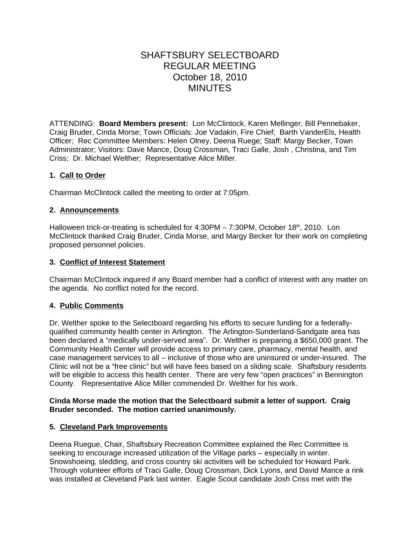# SHAFTSBURY SELECTBOARD REGULAR MEETING October 18, 2010 MINUTES

ATTENDING: **Board Members present:** Lon McClintock, Karen Mellinger, Bill Pennebaker, Craig Bruder, Cinda Morse; Town Officials: Joe Vadakin, Fire Chief; Barth VanderEls, Health Officer; Rec Committee Members: Helen Olney, Deena Ruege; Staff: Margy Becker, Town Administrator; Visitors: Dave Mance, Doug Crossman, Traci Galle, Josh , Christina, and Tim Criss; Dr. Michael Welther; Representative Alice Miller.

# **1. Call to Order**

Chairman McClintock called the meeting to order at 7:05pm.

## **2. Announcements**

Halloween trick-or-treating is scheduled for  $4:30PM - 7:30PM$ , October  $18<sup>th</sup>$ , 2010. Lon McClintock thanked Craig Bruder, Cinda Morse, and Margy Becker for their work on completing proposed personnel policies.

## **3. Conflict of Interest Statement**

Chairman McClintock inquired if any Board member had a conflict of interest with any matter on the agenda. No conflict noted for the record.

## **4. Public Comments**

Dr. Welther spoke to the Selectboard regarding his efforts to secure funding for a federallyqualified community health center in Arlington. The Arlington-Sunderland-Sandgate area has been declared a "medically under-served area". Dr. Welther is preparing a \$650,000 grant. The Community Health Center will provide access to primary care, pharmacy, mental health, and case management services to all – inclusive of those who are uninsured or under-insured. The Clinic will not be a "free clinic" but will have fees based on a sliding scale. Shaftsbury residents will be eligible to access this health center. There are very few "open practices" in Bennington County. Representative Alice Miller commended Dr. Welther for his work.

## **Cinda Morse made the motion that the Selectboard submit a letter of support. Craig Bruder seconded. The motion carried unanimously.**

## **5. Cleveland Park Improvements**

Deena Ruegue, Chair, Shaftsbury Recreation Committee explained the Rec Committee is seeking to encourage increased utilization of the Village parks – especially in winter. Snowshoeing, sledding, and cross country ski activities will be scheduled for Howard Park. Through volunteer efforts of Traci Galle, Doug Crossman, Dick Lyons, and David Mance a rink was installed at Cleveland Park last winter. Eagle Scout candidate Josh Criss met with the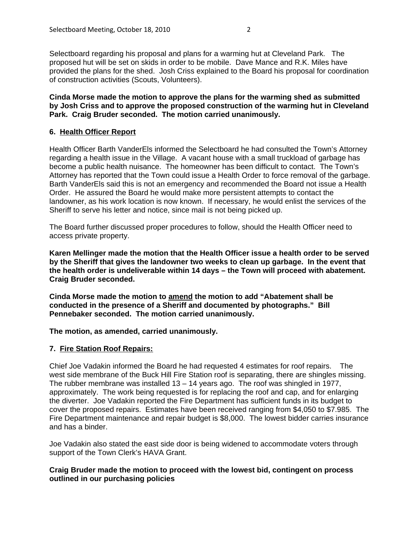Selectboard regarding his proposal and plans for a warming hut at Cleveland Park. The proposed hut will be set on skids in order to be mobile. Dave Mance and R.K. Miles have provided the plans for the shed. Josh Criss explained to the Board his proposal for coordination of construction activities (Scouts, Volunteers).

**Cinda Morse made the motion to approve the plans for the warming shed as submitted by Josh Criss and to approve the proposed construction of the warming hut in Cleveland Park. Craig Bruder seconded. The motion carried unanimously.**

# **6. Health Officer Report**

Health Officer Barth VanderEls informed the Selectboard he had consulted the Town's Attorney regarding a health issue in the Village. A vacant house with a small truckload of garbage has become a public health nuisance. The homeowner has been difficult to contact. The Town's Attorney has reported that the Town could issue a Health Order to force removal of the garbage. Barth VanderEls said this is not an emergency and recommended the Board not issue a Health Order. He assured the Board he would make more persistent attempts to contact the landowner, as his work location is now known. If necessary, he would enlist the services of the Sheriff to serve his letter and notice, since mail is not being picked up.

The Board further discussed proper procedures to follow, should the Health Officer need to access private property.

**Karen Mellinger made the motion that the Health Officer issue a health order to be served by the Sheriff that gives the landowner two weeks to clean up garbage. In the event that the health order is undeliverable within 14 days – the Town will proceed with abatement. Craig Bruder seconded.**

**Cinda Morse made the motion to amend the motion to add "Abatement shall be conducted in the presence of a Sheriff and documented by photographs." Bill Pennebaker seconded. The motion carried unanimously.**

**The motion, as amended, carried unanimously.**

## **7. Fire Station Roof Repairs:**

Chief Joe Vadakin informed the Board he had requested 4 estimates for roof repairs. The west side membrane of the Buck Hill Fire Station roof is separating, there are shingles missing. The rubber membrane was installed 13 – 14 years ago. The roof was shingled in 1977, approximately. The work being requested is for replacing the roof and cap, and for enlarging the diverter. Joe Vadakin reported the Fire Department has sufficient funds in its budget to cover the proposed repairs. Estimates have been received ranging from \$4,050 to \$7.985. The Fire Department maintenance and repair budget is \$8,000. The lowest bidder carries insurance and has a binder.

Joe Vadakin also stated the east side door is being widened to accommodate voters through support of the Town Clerk's HAVA Grant.

## **Craig Bruder made the motion to proceed with the lowest bid, contingent on process outlined in our purchasing policies**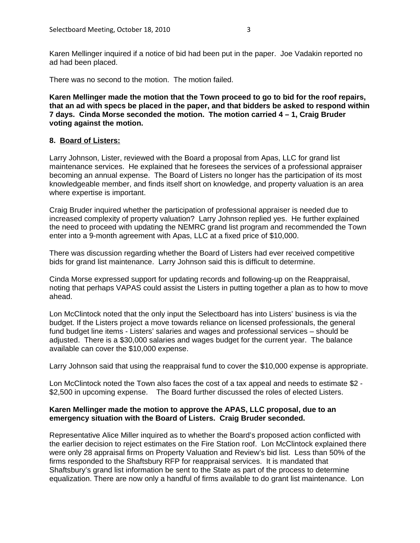Karen Mellinger inquired if a notice of bid had been put in the paper. Joe Vadakin reported no ad had been placed.

There was no second to the motion. The motion failed.

**Karen Mellinger made the motion that the Town proceed to go to bid for the roof repairs, that an ad with specs be placed in the paper, and that bidders be asked to respond within 7 days. Cinda Morse seconded the motion. The motion carried 4 – 1, Craig Bruder voting against the motion.**

#### **8. Board of Listers:**

Larry Johnson, Lister, reviewed with the Board a proposal from Apas, LLC for grand list maintenance services. He explained that he foresees the services of a professional appraiser becoming an annual expense. The Board of Listers no longer has the participation of its most knowledgeable member, and finds itself short on knowledge, and property valuation is an area where expertise is important.

Craig Bruder inquired whether the participation of professional appraiser is needed due to increased complexity of property valuation? Larry Johnson replied yes. He further explained the need to proceed with updating the NEMRC grand list program and recommended the Town enter into a 9-month agreement with Apas, LLC at a fixed price of \$10,000.

There was discussion regarding whether the Board of Listers had ever received competitive bids for grand list maintenance. Larry Johnson said this is difficult to determine.

Cinda Morse expressed support for updating records and following-up on the Reappraisal, noting that perhaps VAPAS could assist the Listers in putting together a plan as to how to move ahead.

Lon McClintock noted that the only input the Selectboard has into Listers' business is via the budget. If the Listers project a move towards reliance on licensed professionals, the general fund budget line items - Listers' salaries and wages and professional services – should be adjusted. There is a \$30,000 salaries and wages budget for the current year. The balance available can cover the \$10,000 expense.

Larry Johnson said that using the reappraisal fund to cover the \$10,000 expense is appropriate.

Lon McClintock noted the Town also faces the cost of a tax appeal and needs to estimate \$2 - \$2,500 in upcoming expense. The Board further discussed the roles of elected Listers.

#### **Karen Mellinger made the motion to approve the APAS, LLC proposal, due to an emergency situation with the Board of Listers. Craig Bruder seconded.**

Representative Alice Miller inquired as to whether the Board's proposed action conflicted with the earlier decision to reject estimates on the Fire Station roof. Lon McClintock explained there were only 28 appraisal firms on Property Valuation and Review's bid list. Less than 50% of the firms responded to the Shaftsbury RFP for reappraisal services. It is mandated that Shaftsbury's grand list information be sent to the State as part of the process to determine equalization. There are now only a handful of firms available to do grant list maintenance. Lon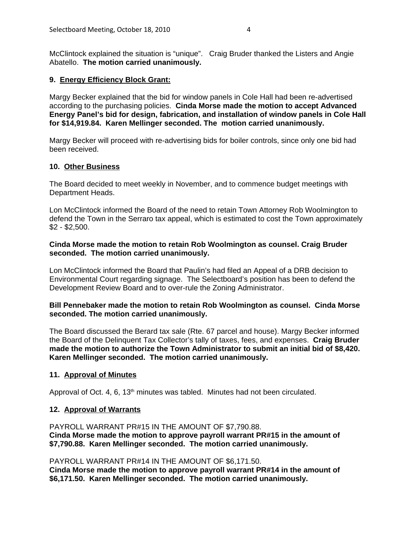McClintock explained the situation is "unique". Craig Bruder thanked the Listers and Angie Abatello. **The motion carried unanimously.**

#### **9. Energy Efficiency Block Grant:**

Margy Becker explained that the bid for window panels in Cole Hall had been re-advertised according to the purchasing policies. **Cinda Morse made the motion to accept Advanced Energy Panel's bid for design, fabrication, and installation of window panels in Cole Hall for \$14,919.84. Karen Mellinger seconded. The motion carried unanimously.**

Margy Becker will proceed with re-advertising bids for boiler controls, since only one bid had been received.

#### **10. Other Business**

The Board decided to meet weekly in November, and to commence budget meetings with Department Heads.

Lon McClintock informed the Board of the need to retain Town Attorney Rob Woolmington to defend the Town in the Serraro tax appeal, which is estimated to cost the Town approximately \$2 - \$2,500.

## **Cinda Morse made the motion to retain Rob Woolmington as counsel. Craig Bruder seconded. The motion carried unanimously.**

Lon McClintock informed the Board that Paulin's had filed an Appeal of a DRB decision to Environmental Court regarding signage. The Selectboard's position has been to defend the Development Review Board and to over-rule the Zoning Administrator.

## **Bill Pennebaker made the motion to retain Rob Woolmington as counsel. Cinda Morse seconded. The motion carried unanimously.**

The Board discussed the Berard tax sale (Rte. 67 parcel and house). Margy Becker informed the Board of the Delinquent Tax Collector's tally of taxes, fees, and expenses. **Craig Bruder made the motion to authorize the Town Administrator to submit an initial bid of \$8,420. Karen Mellinger seconded. The motion carried unanimously.**

#### **11. Approval of Minutes**

Approval of Oct. 4, 6, 13<sup>th</sup> minutes was tabled. Minutes had not been circulated.

#### **12. Approval of Warrants**

PAYROLL WARRANT PR#15 IN THE AMOUNT OF \$7,790.88. **Cinda Morse made the motion to approve payroll warrant PR#15 in the amount of \$7,790.88. Karen Mellinger seconded. The motion carried unanimously.**

#### PAYROLL WARRANT PR#14 IN THE AMOUNT OF \$6,171.50.

**Cinda Morse made the motion to approve payroll warrant PR#14 in the amount of \$6,171.50. Karen Mellinger seconded. The motion carried unanimously.**